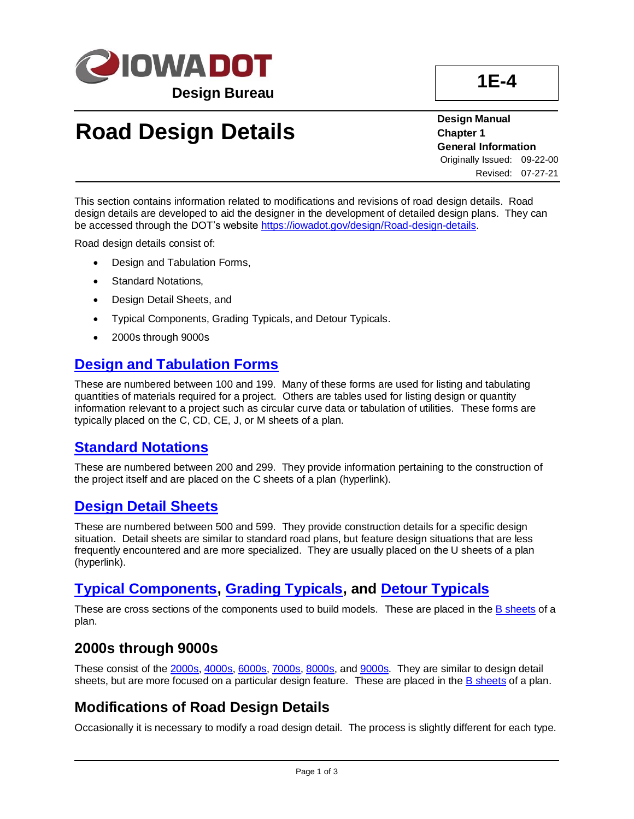

## **Road Design Details**

**Design Manual Chapter 1 General Information** Originally Issued: 09-22-00 Revised: 07-27-21

This section contains information related to modifications and revisions of road design details. Road design details are developed to aid the designer in the development of detailed design plans. They can be accessed through the DOT's website [https://iowadot.gov/design/Road-design-details.](../road-design-details)

Road design details consist of:

- Design and Tabulation Forms,
- Standard Notations,
- Design Detail Sheets, and
- Typical Components, Grading Typicals, and Detour Typicals.
- 2000s through 9000s

## **[Design and Tabulation Forms](../100s)**

These are numbered between 100 and 199. Many of these forms are used for listing and tabulating quantities of materials required for a project. Others are tables used for listing design or quantity information relevant to a project such as circular curve data or tabulation of utilities. These forms are typically placed on the C, CD, CE, J, or M sheets of a plan.

## **[Standard Notations](../200s)**

These are numbered between 200 and 299. They provide information pertaining to the construction of the project itself and are placed on the C sheets of a plan (hyperlink).

## **[Design Detail Sheets](../500s)**

These are numbered between 500 and 599. They provide construction details for a specific design situation. Detail sheets are similar to standard road plans, but feature design situations that are less frequently encountered and are more specialized. They are usually placed on the U sheets of a plan (hyperlink).

## **[Typical Components,](../TypicalComponents) [Grading Typicals,](../GradingTypicals) and [Detour Typicals](../DetourTypicals)**

These are cross sections of the components used to build models. These are placed in the [B sheets](01f-03.pdf) of a plan.

## **2000s through 9000s**

These consist of the [2000s,](../2000s) [4000s,](../4000s) [6000s,](../6000s) [7000s,](../7000s) [8000s,](../8000s) and [9000s.](../9000s) They are similar to design detail sheets, but are more focused on a particular design feature. These are placed in th[e B sheets](01f-03.pdf) of a plan.

## **Modifications of Road Design Details**

Occasionally it is necessary to modify a road design detail. The process is slightly different for each type.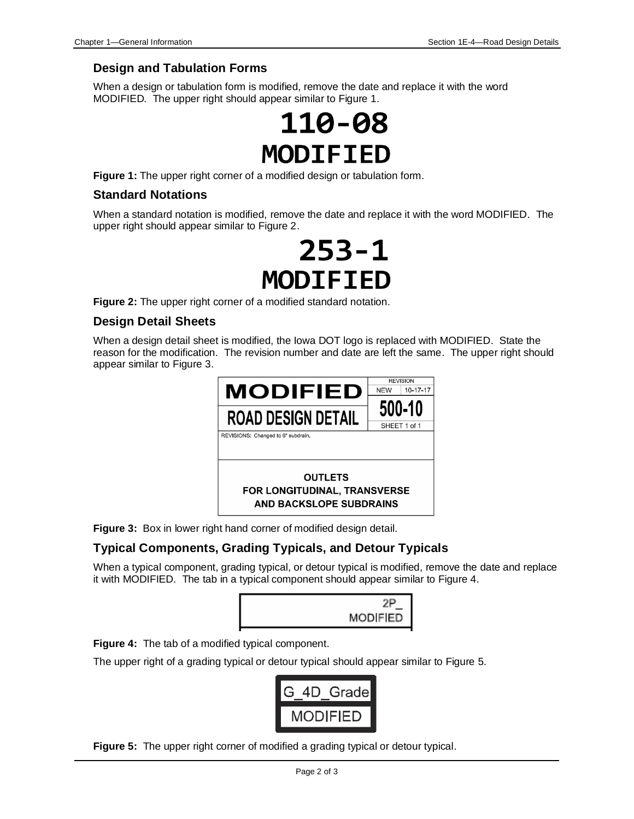#### **Design and Tabulation Forms**

When a design or tabulation form is modified, remove the date and replace it with the word MODIFIED. The upper right should appear similar to Figure 1.



**Figure 1:** The upper right corner of a modified design or tabulation form.

#### **Standard Notations**

When a standard notation is modified, remove the date and replace it with the word MODIFIED. The upper right should appear similar to Figure 2.

# $253 - 1$ MODIFIED

**Figure 2:** The upper right corner of a modified standard notation.

#### **Design Detail Sheets**

When a design detail sheet is modified, the Iowa DOT logo is replaced with MODIFIED. State the reason for the modification. The revision number and date are left the same. The upper right should appear similar to Figure 3.



**Figure 3:** Box in lower right hand corner of modified design detail.

#### **Typical Components, Grading Typicals, and Detour Typicals**

When a typical component, grading typical, or detour typical is modified, remove the date and replace it with MODIFIED. The tab in a typical component should appear similar to Figure 4.





The upper right of a grading typical or detour typical should appear similar to Figure 5.



**Figure 5:** The upper right corner of modified a grading typical or detour typical.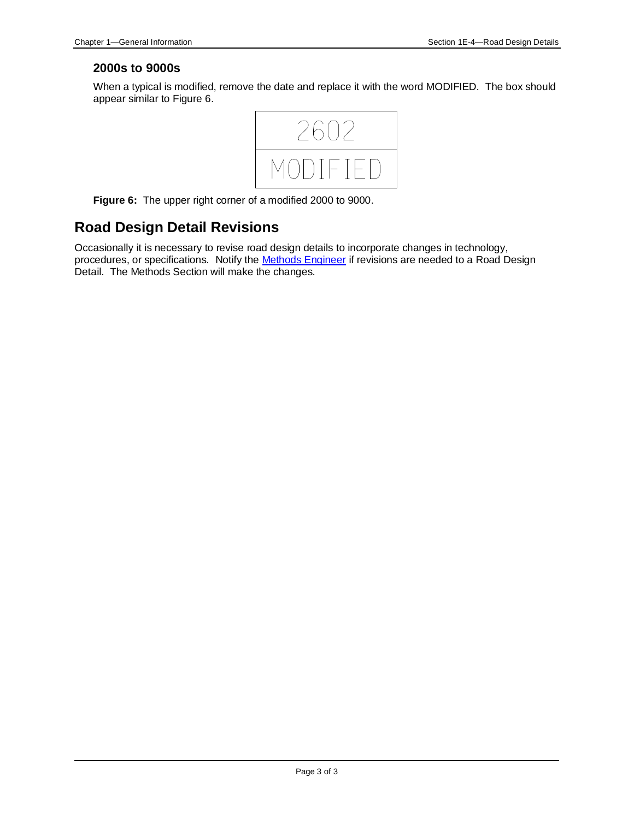#### **2000s to 9000s**

When a typical is modified, remove the date and replace it with the word MODIFIED. The box should appear similar to Figure 6.



**Figure 6:** The upper right corner of a modified 2000 to 9000.

## **Road Design Detail Revisions**

Occasionally it is necessary to revise road design details to incorporate changes in technology, procedures, or specifications. Notify the **Methods Engineer** if revisions are needed to a Road Design Detail. The Methods Section will make the changes.